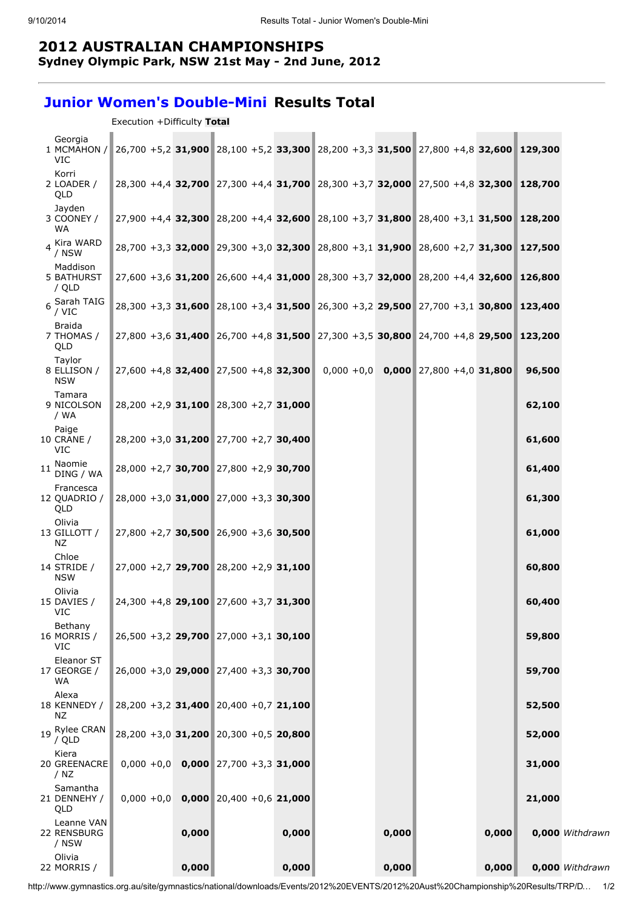## 2012 AUSTRALIAN CHAMPIONSHIPS

Sydney Olympic Park, NSW 21st May - 2nd June, 2012

## Junior Women's Double-Mini Results Total

Execution +Difficulty Total

| Georgia<br>1 MCMAHON /<br>VIC            |       | 26,700 +5,2 31,900 28,100 +5,2 33,300 28,200 +3,3 31,500 27,800 +4,8 32,600 129,300 |       |       |                                        |       |         |                 |
|------------------------------------------|-------|-------------------------------------------------------------------------------------|-------|-------|----------------------------------------|-------|---------|-----------------|
| Korri<br>2 LOADER /<br>QLD               |       | 28,300 +4,4 32,700 27,300 +4,4 31,700 28,300 +3,7 32,000 27,500 +4,8 32,300 128,700 |       |       |                                        |       |         |                 |
| Jayden<br>3 COONEY /<br><b>WA</b>        |       | 27,900 +4,4 32,300 28,200 +4,4 32,600 28,100 +3,7 31,800 28,400 +3,1 31,500 128,200 |       |       |                                        |       |         |                 |
| 4 Kira WARD<br>/ NSW                     |       | 28,700 +3,3 32,000 29,300 +3,0 32,300 28,800 +3,1 31,900 28,600 +2,7 31,300 127,500 |       |       |                                        |       |         |                 |
| Maddison<br><b>5 BATHURST</b><br>/ QLD   |       | 27,600 +3,6 31,200 26,600 +4,4 31,000 28,300 +3,7 32,000 28,200 +4,4 32,600 126,800 |       |       |                                        |       |         |                 |
| 6 Sarah TAIG<br>/ VIC                    |       | 28,300 +3,3 31,600 28,100 +3,4 31,500 26,300 +3,2 29,500 27,700 +3,1 30,800 123,400 |       |       |                                        |       |         |                 |
| Braida<br>7 THOMAS /<br>QLD              |       | 27,800 +3,6 31,400 26,700 +4,8 31,500 27,300 +3,5 30,800 24,700 +4,8 29,500         |       |       |                                        |       | 123,200 |                 |
| Taylor<br>8 ELLISON /<br><b>NSW</b>      |       | $27,600 + 4,8$ 32,400 27,500 +4,8 32,300                                            |       |       | $0,000 + 0,0$ 0,000 27,800 +4,0 31,800 |       | 96,500  |                 |
| Tamara<br>9 NICOLSON<br>/ WA             |       | $28,200 + 2,9$ 31,100 28,300 +2,7 31,000                                            |       |       |                                        |       | 62,100  |                 |
| Paige<br><b>10 CRANE /</b><br><b>VIC</b> |       | 28,200 +3,0 31,200 27,700 +2,7 30,400                                               |       |       |                                        |       | 61,600  |                 |
| Naomie<br>11<br>DING / WA                |       | 28,000 +2,7 30,700 27,800 +2,9 30,700                                               |       |       |                                        |       | 61,400  |                 |
| Francesca<br>12 QUADRIO /<br>QLD         |       | $28,000 + 3,0$ 31,000 27,000 +3,3 30,300                                            |       |       |                                        |       | 61,300  |                 |
| Olivia<br>13 GILLOTT /<br>ΝZ             |       | $27,800 + 2,7$ 30,500 26,900 +3,6 30,500                                            |       |       |                                        |       | 61,000  |                 |
| Chloe<br>14 STRIDE /<br><b>NSW</b>       |       | $27,000 + 2,7$ 29,700 28,200 +2,9 31,100                                            |       |       |                                        |       | 60,800  |                 |
| Olivia<br>15 DAVIES /<br>VIC             |       | 24,300 +4,8 29,100 27,600 +3,7 31,300                                               |       |       |                                        |       | 60,400  |                 |
| Bethany<br>16 MORRIS /<br><b>VIC</b>     |       | $26,500 + 3,2$ 29,700 27,000 +3,1 30,100                                            |       |       |                                        |       | 59,800  |                 |
| Eleanor ST<br>17 GEORGE /<br>WA          |       | $26,000 + 3,0$ 29,000 27,400 +3,3 30,700                                            |       |       |                                        |       | 59,700  |                 |
| Alexa<br>18 KENNEDY /<br>ΝZ              |       | 28,200 +3,2 31,400 20,400 +0,7 21,100                                               |       |       |                                        |       | 52,500  |                 |
| 19 Rylee CRAN<br>/ QLD                   |       | 28,200 +3,0 31,200 20,300 +0,5 20,800                                               |       |       |                                        |       | 52,000  |                 |
| Kiera<br>20 GREENACRE<br>/ $NZ$          |       | $0,000 + 0,0$ 0,000 27,700 +3,3 31,000                                              |       |       |                                        |       | 31,000  |                 |
| Samantha<br>21 DENNEHY /<br>QLD          |       | $0,000 + 0,0$ 0,000 20,400 +0,6 21,000                                              |       |       |                                        |       | 21,000  |                 |
| Leanne VAN<br>22 RENSBURG<br>/ NSW       | 0,000 |                                                                                     | 0,000 | 0,000 |                                        | 0,000 |         | 0,000 Withdrawn |
| Olivia<br>22 MORRIS /                    | 0,000 |                                                                                     | 0,000 | 0,000 |                                        | 0,000 |         | 0,000 Withdrawn |

http://www.gymnastics.org.au/site/gymnastics/national/downloads/Events/2012%20EVENTS/2012%20Aust%20Championship%20Results/TRP/D… 1/2